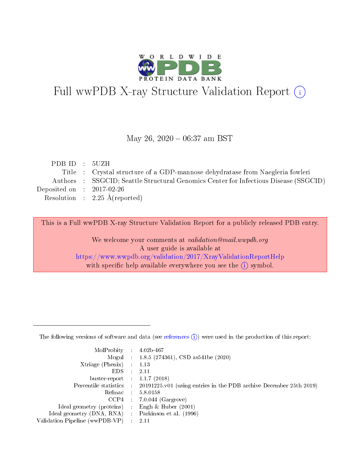

# Full wwPDB X-ray Structure Validation Report (i)

#### May 26,  $2020 - 06:37$  am BST

| PDB ID : 5UZH               |                                                                                      |
|-----------------------------|--------------------------------------------------------------------------------------|
|                             | Title : Crystal structure of a GDP-mannose dehydratase from Naegleria fowleri        |
|                             | Authors : SSGCID; Seattle Structural Genomics Center for Infectious Disease (SSGCID) |
| Deposited on : $2017-02-26$ |                                                                                      |
|                             | Resolution : $2.25 \text{ Å}$ (reported)                                             |
|                             |                                                                                      |

This is a Full wwPDB X-ray Structure Validation Report for a publicly released PDB entry.

We welcome your comments at validation@mail.wwpdb.org A user guide is available at <https://www.wwpdb.org/validation/2017/XrayValidationReportHelp> with specific help available everywhere you see the  $(i)$  symbol.

The following versions of software and data (see [references](https://www.wwpdb.org/validation/2017/XrayValidationReportHelp#references)  $(1)$ ) were used in the production of this report:

| MolProbity :                   |               | $4.02b - 467$                                                                |
|--------------------------------|---------------|------------------------------------------------------------------------------|
|                                |               | Mogul : 1.8.5 (274361), CSD as 541be (2020)                                  |
| $X$ triage (Phenix) :          |               | 1.13                                                                         |
| EDS.                           |               | 2.11                                                                         |
| buster-report : $1.1.7$ (2018) |               |                                                                              |
| Percentile statistics :        |               | $20191225 \text{ v}01$ (using entries in the PDB archive December 25th 2019) |
| Refmac :                       |               | 5.8.0158                                                                     |
| $CCP4$ :                       |               | $7.0.044$ (Gargrove)                                                         |
| Ideal geometry (proteins) :    |               | Engh $\&$ Huber (2001)                                                       |
| Ideal geometry (DNA, RNA) :    |               | Parkinson et al. (1996)                                                      |
| Validation Pipeline (wwPDB-VP) | $\mathcal{L}$ | 2.11                                                                         |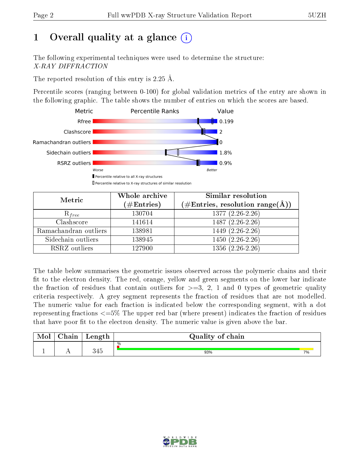# 1 [O](https://www.wwpdb.org/validation/2017/XrayValidationReportHelp#overall_quality)verall quality at a glance  $(i)$

The following experimental techniques were used to determine the structure: X-RAY DIFFRACTION

The reported resolution of this entry is 2.25 Å.

Percentile scores (ranging between 0-100) for global validation metrics of the entry are shown in the following graphic. The table shows the number of entries on which the scores are based.



| Metric                | Whole archive<br>$(\#\mathrm{Entries})$ | Similar resolution<br>$(\#\text{Entries},\,\text{resolution}\,\,\text{range}(\textup{\AA}))$ |
|-----------------------|-----------------------------------------|----------------------------------------------------------------------------------------------|
| $R_{free}$            | 130704                                  | $1377(2.26-2.26)$                                                                            |
| Clashscore            | 141614                                  | 1487 (2.26-2.26)                                                                             |
| Ramachandran outliers | 138981                                  | $1449$ $(2.\overline{26-2.26})$                                                              |
| Sidechain outliers    | 138945                                  | $1450(2.26-2.26)$                                                                            |
| RSRZ outliers         | 127900                                  | $1356(2.26-2.26)$                                                                            |

The table below summarises the geometric issues observed across the polymeric chains and their fit to the electron density. The red, orange, yellow and green segments on the lower bar indicate the fraction of residues that contain outliers for  $>=3, 2, 1$  and 0 types of geometric quality criteria respectively. A grey segment represents the fraction of residues that are not modelled. The numeric value for each fraction is indicated below the corresponding segment, with a dot representing fractions  $\epsilon=5\%$  The upper red bar (where present) indicates the fraction of residues that have poor fit to the electron density. The numeric value is given above the bar.

| Mol | $\cap$ hain | Length | Quality of chain |    |
|-----|-------------|--------|------------------|----|
|     | . .         | 345    | %<br>93%         | 7% |

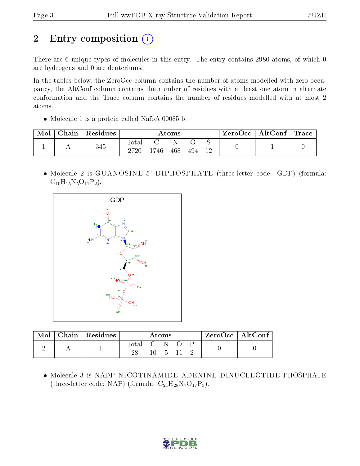# 2 Entry composition (i)

There are 6 unique types of molecules in this entry. The entry contains 2980 atoms, of which 0 are hydrogens and 0 are deuteriums.

In the tables below, the ZeroOcc column contains the number of atoms modelled with zero occupancy, the AltConf column contains the number of residues with at least one atom in alternate conformation and the Trace column contains the number of residues modelled with at most 2 atoms.

• Molecule 1 is a protein called NafoA.00085.b.

| Mol | Chain | Residues |                     |      | $\rm{Atoms}$ |     |  | $\text{ZeroOcc} \mid \text{AltConf} \mid$ | $\mid$ Trace $\mid$ |
|-----|-------|----------|---------------------|------|--------------|-----|--|-------------------------------------------|---------------------|
|     |       | 345      | $\rm Total$<br>2720 | 1746 | 468          | 494 |  |                                           |                     |

 Molecule 2 is GUANOSINE -5' -DIPHOSPHATE (three-letter code: GDP) (formula:  $C_{10}H_{15}N_5O_{11}P_2$ .



|  | Chain   Residues |             | $\rm{Atoms}$ |  | $ZeroOcc \   \ AltConf \  $ |  |
|--|------------------|-------------|--------------|--|-----------------------------|--|
|  |                  | Total C N O |              |  |                             |  |

 Molecule 3 is NADP NICOTINAMIDE-ADENINE-DINUCLEOTIDE PHOSPHATE (three-letter code: NAP) (formula:  $C_{21}H_{28}N_7O_{17}P_3$ ).

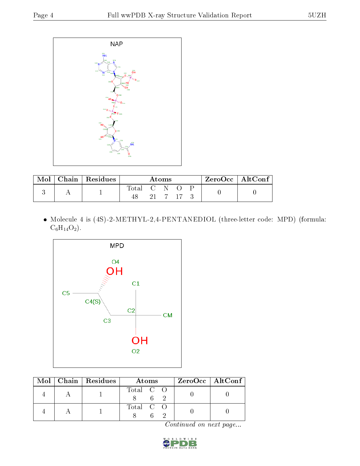

| Mol | Chain Residues |       |                     | Atoms |         | $ZeroOcc \   \ AltConf \  $ |  |
|-----|----------------|-------|---------------------|-------|---------|-----------------------------|--|
|     |                | Total | $\cdot$ C N $\cdot$ |       | 91 7 17 |                             |  |

 Molecule 4 is (4S)-2-METHYL-2,4-PENTANEDIOL (three-letter code: MPD) (formula:  $C_6H_{14}O_2$ .



|  | Mol   Chain   Residues | Atoms     | $ZeroOcc \   \ AltConf \  $ |
|--|------------------------|-----------|-----------------------------|
|  |                        | Total C O |                             |
|  |                        | Total C O |                             |

Continued on next page...

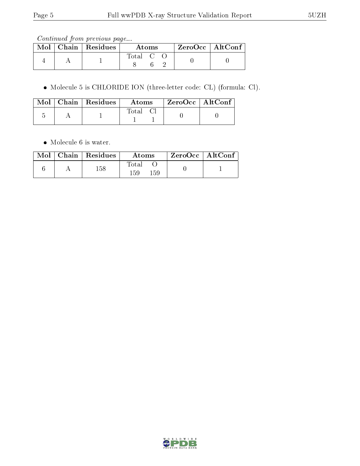Continued from previous page...

|  | $\parallel$ Mol $\parallel$ Chain $\parallel$ Residues $\parallel$ | Atoms   |  |  | ZeroOcc   AltConf |  |
|--|--------------------------------------------------------------------|---------|--|--|-------------------|--|
|  |                                                                    | Total C |  |  |                   |  |

Molecule 5 is CHLORIDE ION (three-letter code: CL) (formula: Cl).

|  | $\parallel$ Mol $\parallel$ Chain $\parallel$ Residues $\parallel$ | Atoms | ZeroOcc   AltConf |  |
|--|--------------------------------------------------------------------|-------|-------------------|--|
|  |                                                                    | Total |                   |  |

• Molecule 6 is water.

|  | $Mol$   Chain   Residues | Atoms               | $\mid$ ZeroOcc $\mid$ AltConf $\mid$ |  |
|--|--------------------------|---------------------|--------------------------------------|--|
|  | $158\,$                  | Total<br>159<br>159 |                                      |  |

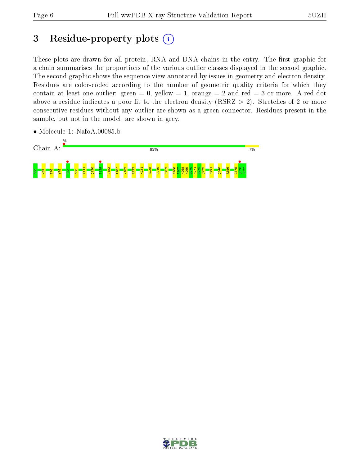## 3 Residue-property plots  $(i)$

These plots are drawn for all protein, RNA and DNA chains in the entry. The first graphic for a chain summarises the proportions of the various outlier classes displayed in the second graphic. The second graphic shows the sequence view annotated by issues in geometry and electron density. Residues are color-coded according to the number of geometric quality criteria for which they contain at least one outlier: green  $= 0$ , yellow  $= 1$ , orange  $= 2$  and red  $= 3$  or more. A red dot above a residue indicates a poor fit to the electron density (RSRZ  $> 2$ ). Stretches of 2 or more consecutive residues without any outlier are shown as a green connector. Residues present in the sample, but not in the model, are shown in grey.

 $7%$ 



• Molecule 1: NafoA.00085.b

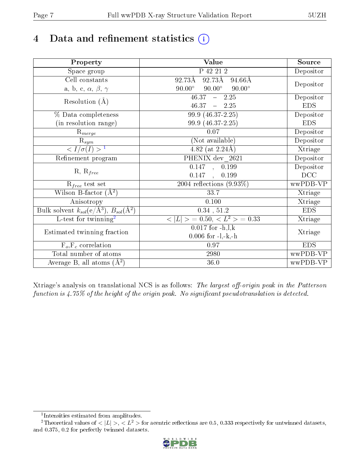# 4 Data and refinement statistics  $(i)$

| Property                                                             | Value                                           | Source     |
|----------------------------------------------------------------------|-------------------------------------------------|------------|
| $\overline{\text{Space}}$ group                                      | P 42 21 2                                       | Depositor  |
| Cell constants                                                       | 92.73Å<br>92.73Å<br>94.66Å                      |            |
| a, b, c, $\alpha$ , $\beta$ , $\gamma$                               | $90.00^\circ$<br>$90.00^\circ$<br>$90.00^\circ$ | Depositor  |
| Resolution $(\AA)$                                                   | $46.37 - 2.25$                                  | Depositor  |
|                                                                      | $46.37 - 2.25$                                  | <b>EDS</b> |
| % Data completeness                                                  | 99.9 (46.37-2.25)                               | Depositor  |
| (in resolution range)                                                | 99.9 (46.37-2.25)                               | <b>EDS</b> |
| $R_{merge}$                                                          | 0.07                                            | Depositor  |
|                                                                      | (Not available)                                 | Depositor  |
| $\frac{\overline{\mathrm{R}_{sym}}}{1}$                              | 4.82 (at $2.24\text{\AA}$ )                     | Xtriage    |
| Refinement program                                                   | PHENIX dev 2621                                 | Depositor  |
|                                                                      | 0.147, 0.199                                    | Depositor  |
| $R, R_{free}$                                                        | 0.147<br>0.199<br>$\sim$                        | DCC        |
| $R_{free}$ test set                                                  | 2004 reflections $(9.93\%)$                     | wwPDB-VP   |
| Wilson B-factor $(A^2)$                                              | 33.7                                            | Xtriage    |
| Anisotropy                                                           | 0.100                                           | Xtriage    |
| Bulk solvent $k_{sol}(e/\mathring{A}^3)$ , $B_{sol}(\mathring{A}^2)$ | $0.34$ , $51.2$                                 | <b>EDS</b> |
| L-test for twinning <sup>2</sup>                                     | $< L >$ = 0.50, $< L^2 >$ = 0.33                | Xtriage    |
|                                                                      | $0.017$ for $-h, l, k$                          |            |
| Estimated twinning fraction                                          | $0.006$ for $-l,-k,-h$                          | Xtriage    |
| $F_o, F_c$ correlation                                               | 0.97                                            | <b>EDS</b> |
| Total number of atoms                                                | 2980                                            | wwPDB-VP   |
| Average B, all atoms $(A^2)$                                         | 36.0                                            | wwPDB-VP   |

Xtriage's analysis on translational NCS is as follows: The largest off-origin peak in the Patterson function is  $4.75\%$  of the height of the origin peak. No significant pseudotranslation is detected.

<sup>&</sup>lt;sup>2</sup>Theoretical values of  $\langle |L| \rangle$ ,  $\langle L^2 \rangle$  for acentric reflections are 0.5, 0.333 respectively for untwinned datasets, and 0.375, 0.2 for perfectly twinned datasets.



<span id="page-6-1"></span><span id="page-6-0"></span><sup>1</sup> Intensities estimated from amplitudes.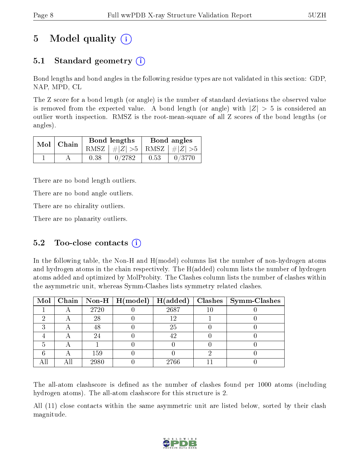# 5 Model quality  $(i)$

### 5.1 Standard geometry (i)

Bond lengths and bond angles in the following residue types are not validated in this section: GDP, NAP, MPD, CL

The Z score for a bond length (or angle) is the number of standard deviations the observed value is removed from the expected value. A bond length (or angle) with  $|Z| > 5$  is considered an outlier worth inspection. RMSZ is the root-mean-square of all Z scores of the bond lengths (or angles).

| $Mol$   Chain |      | Bond lengths                    | Bond angles |        |  |
|---------------|------|---------------------------------|-------------|--------|--|
|               |      | RMSZ $ #Z  > 5$ RMSZ $ #Z  > 5$ |             |        |  |
|               | 0.38 | 0/2782                          | 0.53        | 0/3770 |  |

There are no bond length outliers.

There are no bond angle outliers.

There are no chirality outliers.

There are no planarity outliers.

### 5.2 Too-close contacts  $(i)$

In the following table, the Non-H and H(model) columns list the number of non-hydrogen atoms and hydrogen atoms in the chain respectively. The H(added) column lists the number of hydrogen atoms added and optimized by MolProbity. The Clashes column lists the number of clashes within the asymmetric unit, whereas Symm-Clashes lists symmetry related clashes.

|  |      | Mol   Chain   Non-H   H(model)   H(added) |      | $Clashes$   Symm-Clashes |
|--|------|-------------------------------------------|------|--------------------------|
|  | 2720 |                                           | 2687 |                          |
|  | 28   |                                           |      |                          |
|  | 48   |                                           | 25   |                          |
|  |      |                                           | 42   |                          |
|  |      |                                           |      |                          |
|  | 159  |                                           |      |                          |
|  | 2980 |                                           | 2766 |                          |

The all-atom clashscore is defined as the number of clashes found per 1000 atoms (including hydrogen atoms). The all-atom clashscore for this structure is 2.

All (11) close contacts within the same asymmetric unit are listed below, sorted by their clash magnitude.

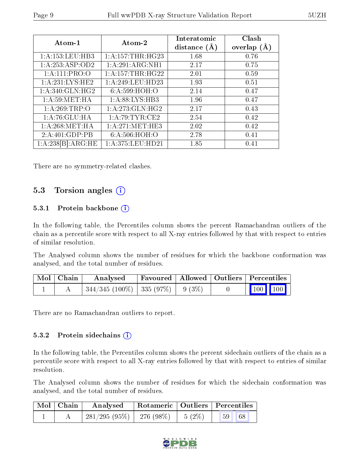| Atom-1                      | Atom-2               | Interatomic<br>distance $(\AA)$ | Clash<br>overlap $(A)$ |
|-----------------------------|----------------------|---------------------------------|------------------------|
| 1: A: 153: LEU: HB3         | 1: A:157:THR:HG23    | 1.68                            | 0.76                   |
| 1:A:253:ASP:OD2             | 1:A:291:ARG:NH1      | 2.17                            | 0.75                   |
| 1:A:111:PRO:O               | 1: A: 157: THR: HG22 | 2.01                            | 0.59                   |
| 1:A:231:LYS:HE2             | 1:A:249:LEU:HD23     | 1.93                            | 0.51                   |
| 1: A:340: GLN: HG2          | 6:A:599:HOH:O        | 2.14                            | 0.47                   |
| 1: A:59: MET:HA             | 1:A:88:LYS:HB3       | 1.96                            | 0.47                   |
| 1: A:269:TRP:O              | 1:A:273:GLN:HG2      | 2.17                            | 0.43                   |
| 1: A:76: GLU: HA            | 1:A:79:TYR:CE2       | 2.54                            | 0.42                   |
| 1: A:268:MET:HA             | 1: A:271: MET:HE3    | 2.02                            | 0.42                   |
| $2:A:401:G\overline{DP:PB}$ | 6: A:506: HOH:O      | 2.78                            | 0.41                   |
| 1:A:238[B]:ARG:HE           | 1: A:375: LEU: HD21  | 1.85                            | 0.41                   |

There are no symmetry-related clashes.

### 5.3 Torsion angles (i)

#### 5.3.1 Protein backbone (i)

In the following table, the Percentiles column shows the percent Ramachandran outliers of the chain as a percentile score with respect to all X-ray entries followed by that with respect to entries of similar resolution.

The Analysed column shows the number of residues for which the backbone conformation was analysed, and the total number of residues.

| $\mid$ Mol $\mid$ Chain | Analysed                                 |  | Favoured   Allowed   Outliers   Percentiles |
|-------------------------|------------------------------------------|--|---------------------------------------------|
|                         | $344/345$ (100\%)   335 (97\%)   9 (3\%) |  | 100 100                                     |

There are no Ramachandran outliers to report.

#### 5.3.2 Protein sidechains  $(i)$

In the following table, the Percentiles column shows the percent sidechain outliers of the chain as a percentile score with respect to all X-ray entries followed by that with respect to entries of similar resolution.

The Analysed column shows the number of residues for which the sidechain conformation was analysed, and the total number of residues.

| $\blacksquare$ Mol $\blacksquare$ Chain | Analysed                                |  | Rotameric   Outliers   Percentiles |
|-----------------------------------------|-----------------------------------------|--|------------------------------------|
|                                         | $281/295 (95\%)$   276 (98\%)   5 (2\%) |  | 68<br>$\blacksquare$ 59            |

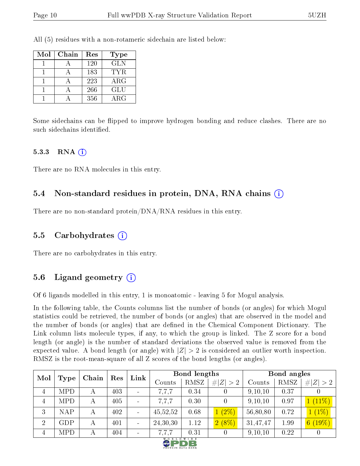All (5) residues with a non-rotameric sidechain are listed below:

| Mol | Chain | Res | Type       |
|-----|-------|-----|------------|
|     |       | 120 | <b>GLN</b> |
|     |       | 183 | TYR.       |
|     |       | 223 | $\rm{ARG}$ |
|     |       | 266 | GLU        |
|     |       | 356 | ARG        |

Some sidechains can be flipped to improve hydrogen bonding and reduce clashes. There are no such sidechains identified.

#### 5.3.3 RNA  $(i)$

There are no RNA molecules in this entry.

#### 5.4 Non-standard residues in protein, DNA, RNA chains (i)

There are no non-standard protein/DNA/RNA residues in this entry.

#### 5.5 Carbohydrates  $(i)$

There are no carbohydrates in this entry.

#### 5.6 Ligand geometry (i)

Of 6 ligands modelled in this entry, 1 is monoatomic - leaving 5 for Mogul analysis.

In the following table, the Counts columns list the number of bonds (or angles) for which Mogul statistics could be retrieved, the number of bonds (or angles) that are observed in the model and the number of bonds (or angles) that are defined in the Chemical Component Dictionary. The Link column lists molecule types, if any, to which the group is linked. The Z score for a bond length (or angle) is the number of standard deviations the observed value is removed from the expected value. A bond length (or angle) with  $|Z| > 2$  is considered an outlier worth inspection. RMSZ is the root-mean-square of all Z scores of the bond lengths (or angles).

| Mol            | Type       | Chain | Res | Link |          | Bond lengths |             |          | Bond angles |             |
|----------------|------------|-------|-----|------|----------|--------------|-------------|----------|-------------|-------------|
|                |            |       |     |      | Counts   | RMSZ         | # $ Z  > 2$ | Counts   | RMSZ        | # $ Z  > 2$ |
| 4              | <b>MPD</b> |       | 403 |      | 7,7,7    | 0.34         |             | 9,10,10  | 0.37        |             |
| $\overline{4}$ | <b>MPD</b> | А     | 405 |      | 7,7,7    | 0.30         |             | 9,10,10  | 0.97        | $1(11\%)$   |
| 3              | <b>NAP</b> | А     | 402 |      | 45,52,52 | 0.68         | (2%)        | 56,80,80 | 0.72        | $1(1\%)$    |
| $\overline{2}$ | GDP        | А     | 401 |      | 24,30,30 | 1.12         | $2(8\%)$    | 31,47,47 | 1.99        | 6(19%)      |
| 4              | <b>MPD</b> |       | 404 |      | 7,7,7    | 0.31         |             | 9,10,10  | 0.22        |             |

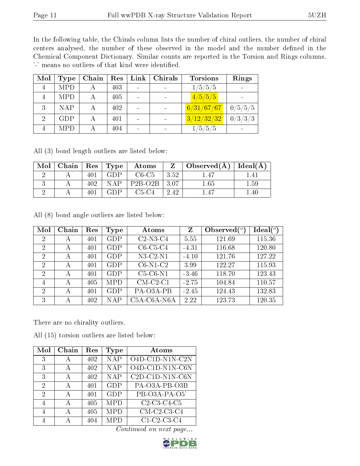In the following table, the Chirals column lists the number of chiral outliers, the number of chiral centers analysed, the number of these observed in the model and the number defined in the Chemical Component Dictionary. Similar counts are reported in the Torsion and Rings columns. '-' means no outliers of that kind were identified.

| Mol | <b>Type</b> | Chain | Res | Link | Chirals | <b>Torsions</b> | Rings   |
|-----|-------------|-------|-----|------|---------|-----------------|---------|
|     | <b>MPD</b>  |       | 403 |      |         | 1/5/5/5         |         |
|     | <b>MPD</b>  |       | 405 |      |         | 4/5/5/5         |         |
| 3   | <b>NAP</b>  | А     | 402 |      |         | 6/31/67/67      | 0/5/5/5 |
|     | <b>GDP</b>  |       | 401 |      |         | 3/12/32/32      | 0/3/3/3 |
|     | <b>MPD</b>  |       | 404 |      |         | /5/5/5          |         |

All (3) bond length outliers are listed below:

| Mol |     | Chain   Res   Type | Atoms     | 7     | Observed $(A)$ | $ $ Ideal $(A)$ |
|-----|-----|--------------------|-----------|-------|----------------|-----------------|
|     |     | GDP                | $C6-C5$   | 3.52  |                | -4 I            |
|     | 402 | NAP                | $P2B-O2B$ | -3.07 | $1.65\,$       | $1.59\,$        |
|     |     | 7D P               | C5-C4     | 2.42  |                | .40             |

All (8) bond angle outliers are listed below:

| Mol            | Chain | Res | Type       | Atoms       | $Z_{\rm}$ | Observed $\binom{o}{c}$ | $Ideal(^o)$ |
|----------------|-------|-----|------------|-------------|-----------|-------------------------|-------------|
| $\overline{2}$ | А     | 401 | GDP        | $C2-N3-C4$  | 5.55      | 121.69                  | 115.36      |
| 2              | А     | 401 | GDP        | $C6-C5-C4$  | $-4.31$   | 116.68                  | 120.80      |
| 2              | А     | 401 | GDP        | $N3-C2-N1$  | $-4.10$   | 121.76                  | 127.22      |
| $\overline{2}$ | А     | 401 | <b>GDP</b> | $C6-N1-C2$  | 3.99      | 122.27                  | 115.93      |
| 2              | А     | 401 | GDP        | $C5-C6-N1$  | $-3.46$   | 118.70                  | 123.43      |
| 4              | А     | 405 | <b>MPD</b> | $CM-C2-C1$  | $-2.75$   | 104.84                  | 110.57      |
| $\overline{2}$ | А     | 401 | <b>GDP</b> | PA-O3A-PB   | $-2.45$   | 124.43                  | 132.83      |
| 3              | А     | 402 | NAP        | C5A-C6A-N6A | 2.22      | 123.73                  | 120.35      |

There are no chirality outliers.

All (15) torsion outliers are listed below:

| Mol | Chain | Res | <b>Type</b> | Atoms                                                               |
|-----|-------|-----|-------------|---------------------------------------------------------------------|
| 3   | А     | 402 | <b>NAP</b>  | O4D-C1D-N1N-C2N                                                     |
| 3   | А     | 402 | <b>NAP</b>  | $O4D-ClD-N1N- C6N$                                                  |
| 3   | А     | 402 | <b>NAP</b>  | C <sub>2</sub> D-C <sub>1</sub> D-N <sub>1</sub> N-C <sub>6</sub> N |
| 2   | А     | 401 | <b>GDP</b>  | PA-O3A-PB-O3B                                                       |
| 2   | А     | 401 | <b>GDP</b>  | PB-O3A-PA-O5'                                                       |
| 4   | А     | 405 | <b>MPD</b>  | C <sub>2</sub> -C <sub>3</sub> -C <sub>4</sub> -C <sub>5</sub>      |
| 4   | А     | 405 | <b>MPD</b>  | $CM$ -C <sub>2</sub> -C <sub>3</sub> -C <sub>4</sub>                |
|     |       | 404 | MPD         | $C1-C2-C3-C4$                                                       |

Continued on next page...

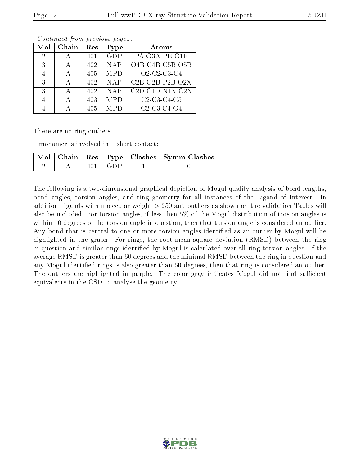| Mol | Chain | $\operatorname{Res}% \left( \mathcal{N}\right) \equiv\operatorname{Res}(\mathcal{N}_{0})\cap\mathcal{N}_{1}$ | Type       | Atoms                                                          |
|-----|-------|--------------------------------------------------------------------------------------------------------------|------------|----------------------------------------------------------------|
| 2   | А     | 401                                                                                                          | <b>GDP</b> | PA-O3A-PB-O1B                                                  |
| 3   |       | 402                                                                                                          | <b>NAP</b> | $O4B-C4B-C5B-O5B$                                              |
| 4   |       | 405                                                                                                          | <b>MPD</b> | O <sub>2</sub> -C <sub>2</sub> -C <sub>3</sub> -C <sub>4</sub> |
| 3   |       | 402                                                                                                          | <b>NAP</b> | $C2B-O2B-P2B-O2X$                                              |
| 3   |       | 402                                                                                                          | <b>NAP</b> | $C2D- C1D- N1N- C2N$                                           |
| 4   |       | 403                                                                                                          | <b>MPD</b> | $C2-C3-C4-C5$                                                  |
|     |       | 405                                                                                                          | MPD        | $C2-C3-C4-O4$                                                  |

Continued from previous page...

There are no ring outliers.

1 monomer is involved in 1 short contact:

|  |                            | Mol   Chain   Res   Type   Clashes   Symm-Clashes |
|--|----------------------------|---------------------------------------------------|
|  | $\pm 401 \pm \text{GDP}$ . |                                                   |

The following is a two-dimensional graphical depiction of Mogul quality analysis of bond lengths, bond angles, torsion angles, and ring geometry for all instances of the Ligand of Interest. In addition, ligands with molecular weight > 250 and outliers as shown on the validation Tables will also be included. For torsion angles, if less then 5% of the Mogul distribution of torsion angles is within 10 degrees of the torsion angle in question, then that torsion angle is considered an outlier. Any bond that is central to one or more torsion angles identified as an outlier by Mogul will be highlighted in the graph. For rings, the root-mean-square deviation (RMSD) between the ring in question and similar rings identified by Mogul is calculated over all ring torsion angles. If the average RMSD is greater than 60 degrees and the minimal RMSD between the ring in question and any Mogul-identified rings is also greater than 60 degrees, then that ring is considered an outlier. The outliers are highlighted in purple. The color gray indicates Mogul did not find sufficient equivalents in the CSD to analyse the geometry.

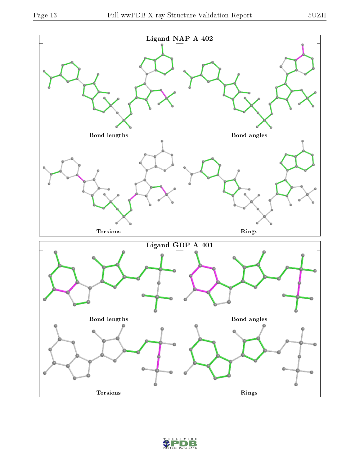

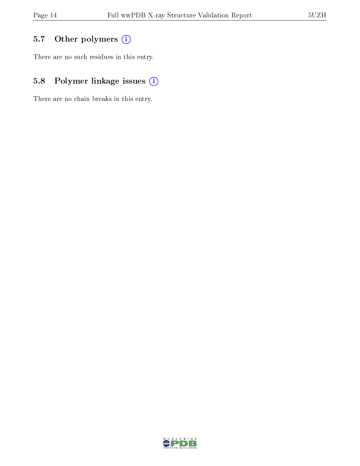## 5.7 [O](https://www.wwpdb.org/validation/2017/XrayValidationReportHelp#nonstandard_residues_and_ligands)ther polymers (i)

There are no such residues in this entry.

## 5.8 Polymer linkage issues (i)

There are no chain breaks in this entry.

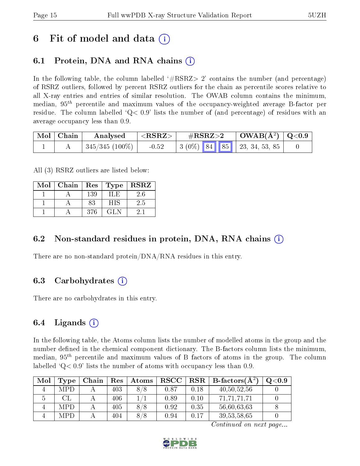## 6 Fit of model and data  $\left( \cdot \right)$

### 6.1 Protein, DNA and RNA chains (i)

In the following table, the column labelled  $#RSRZ>2'$  contains the number (and percentage) of RSRZ outliers, followed by percent RSRZ outliers for the chain as percentile scores relative to all X-ray entries and entries of similar resolution. The OWAB column contains the minimum, median,  $95<sup>th</sup>$  percentile and maximum values of the occupancy-weighted average B-factor per residue. The column labelled  $Q < 0.9$  lists the number of (and percentage) of residues with an average occupancy less than 0.9.

| Mol Chain | Analysed                    | $\#\text{RSRZ}\text{>2}$<br>${ <\hspace{-1.5pt}{\mathrm{RSRZ}} \hspace{-1.5pt}>}$ |                                                                                                      | $\mid$ OWAB(Å <sup>2</sup> ) $\mid$ Q<0.9 |  |
|-----------|-----------------------------|-----------------------------------------------------------------------------------|------------------------------------------------------------------------------------------------------|-------------------------------------------|--|
|           | $\mid 345/345~(100\%) \mid$ | $-0.52$                                                                           | $\begin{array}{ c c c c c c c c } \hline 3 & (0\%) & 84 & 85 & 23, 34, 53, 85 \\ \hline \end{array}$ |                                           |  |

All (3) RSRZ outliers are listed below:

| Mol | Chain | $\vert$ Res | Type              | <b>RSRZ</b> |
|-----|-------|-------------|-------------------|-------------|
|     |       | 139         | 41.E              | $2.6\,$     |
|     |       | 83          | НIS               | 2.5         |
|     |       | 376         | $\Gamma$ $\Gamma$ |             |

### 6.2 Non-standard residues in protein, DNA, RNA chains  $(i)$

There are no non-standard protein/DNA/RNA residues in this entry.

### 6.3 Carbohydrates (i)

There are no carbohydrates in this entry.

### 6.4 Ligands  $(i)$

In the following table, the Atoms column lists the number of modelled atoms in the group and the number defined in the chemical component dictionary. The B-factors column lists the minimum, median,  $95<sup>th</sup>$  percentile and maximum values of B factors of atoms in the group. The column labelled  $Q< 0.9$  lists the number of atoms with occupancy less than 0.9.

| Mol | Type       | Chain | $\operatorname{Res}% \left( \mathcal{N}\right) \equiv\operatorname{Res}(\mathcal{N}_{0})\left( \mathcal{N}_{0}\right) ^{2}$ | Atoms | $_{\rm RSCC}$ | <b>RSR</b> | $B$ -factors $(A^2)$ | Q <sub>0.9</sub> |
|-----|------------|-------|-----------------------------------------------------------------------------------------------------------------------------|-------|---------------|------------|----------------------|------------------|
|     | <b>MPD</b> |       | 403                                                                                                                         | 8/8   | 0.87          | 0.18       | 40,50,52,56          |                  |
|     |            |       | 406                                                                                                                         |       | 0.89          | 0.10       | 71,71,71,71          |                  |
|     | <b>MPD</b> |       | 405                                                                                                                         | 8/8   | 0.92          | 0.35       | 56,60,63,63          |                  |
|     | MPD        |       | 404                                                                                                                         | 8/8   | 0.94          | 0.17       | 39, 53, 58, 65       |                  |

Continued on next page...

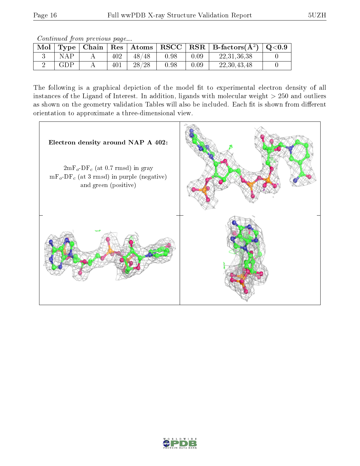Continued from previous page...

| $\vert$ Mol $\vert$ Type $\vert$ |  |       |      |          | Chain   Res   Atoms   RSCC   RSR   B-factors $(A^2)$ | $\mid$ Q<0.9 |
|----------------------------------|--|-------|------|----------|------------------------------------------------------|--------------|
| N A P                            |  | 48/48 | 0.98 | 0.09     | 22, 31, 36, 38                                       |              |
| GDP                              |  | 28/28 | 0.98 | $0.09\,$ | 22, 30, 43, 48                                       |              |

The following is a graphical depiction of the model fit to experimental electron density of all instances of the Ligand of Interest. In addition, ligands with molecular weight  $> 250$  and outliers as shown on the geometry validation Tables will also be included. Each fit is shown from different orientation to approximate a three-dimensional view.